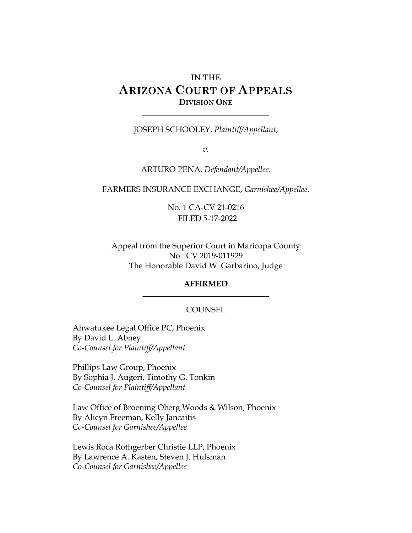# IN THE **ARIZONA COURT OF APPEALS DIVISION ONE**

JOSEPH SCHOOLEY, *Plaintiff/Appellant*,

*v.*

ARTURO PENA, *Defendant/Appellee*.

FARMERS INSURANCE EXCHANGE, *Garnishee/Appellee*.

No. 1 CA-CV 21-0216 FILED 5-17-2022

Appeal from the Superior Court in Maricopa County No. CV 2019-011929 The Honorable David W. Garbarino, Judge

#### **AFFIRMED**

#### **COUNSEL**

Ahwatukee Legal Office PC, Phoenix By David L. Abney *Co-Counsel for Plaintiff/Appellant*

Phillips Law Group, Phoenix By Sophia J. Augeri, Timothy G. Tonkin *Co-Counsel for Plaintiff/Appellant*

Law Office of Broening Oberg Woods & Wilson, Phoenix By Alicyn Freeman, Kelly Jancaitis *Co-Counsel for Garnishee/Appellee*

Lewis Roca Rothgerber Christie LLP, Phoenix By Lawrence A. Kasten, Steven J. Hulsman *Co-Counsel for Garnishee/Appellee*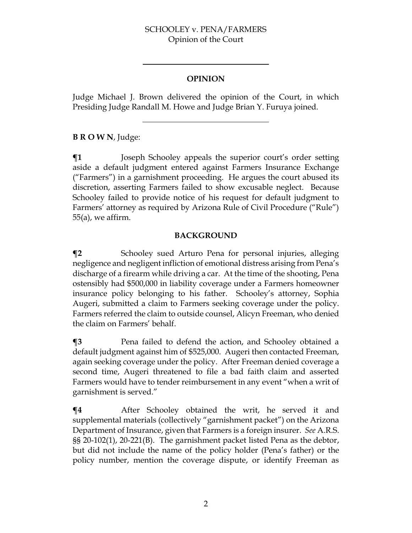## **OPINION**

Judge Michael J. Brown delivered the opinion of the Court, in which Presiding Judge Randall M. Howe and Judge Brian Y. Furuya joined.

**B R O W N**, Judge:

 $\P$ **1** Joseph Schooley appeals the superior court's order setting aside a default judgment entered against Farmers Insurance Exchange ("Farmers") in a garnishment proceeding. He argues the court abused its discretion, asserting Farmers failed to show excusable neglect. Because Schooley failed to provide notice of his request for default judgment to Farmers' attorney as required by Arizona Rule of Civil Procedure ("Rule") 55(a), we affirm.

## **BACKGROUND**

**¶2** Schooley sued Arturo Pena for personal injuries, alleging negligence and negligent infliction of emotional distress arising from Pena's discharge of a firearm while driving a car. At the time of the shooting, Pena ostensibly had \$500,000 in liability coverage under a Farmers homeowner insurance policy belonging to his father. Schooley's attorney, Sophia Augeri, submitted a claim to Farmers seeking coverage under the policy. Farmers referred the claim to outside counsel, Alicyn Freeman, who denied the claim on Farmers' behalf.

**¶3** Pena failed to defend the action, and Schooley obtained a default judgment against him of \$525,000. Augeri then contacted Freeman, again seeking coverage under the policy. After Freeman denied coverage a second time, Augeri threatened to file a bad faith claim and asserted Farmers would have to tender reimbursement in any event "when a writ of garnishment is served."

**¶4** After Schooley obtained the writ, he served it and supplemental materials (collectively "garnishment packet") on the Arizona Department of Insurance, given that Farmers is a foreign insurer. *See* A.R.S. §§ 20-102(1), 20-221(B). The garnishment packet listed Pena as the debtor, but did not include the name of the policy holder (Pena's father) or the policy number, mention the coverage dispute, or identify Freeman as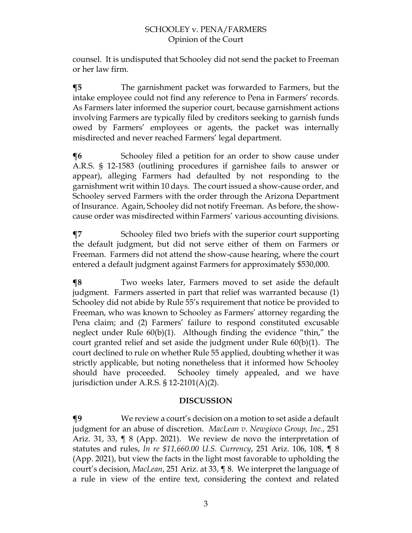counsel. It is undisputed that Schooley did not send the packet to Freeman or her law firm.

**¶5** The garnishment packet was forwarded to Farmers, but the intake employee could not find any reference to Pena in Farmers' records. As Farmers later informed the superior court, because garnishment actions involving Farmers are typically filed by creditors seeking to garnish funds owed by Farmers' employees or agents, the packet was internally misdirected and never reached Farmers' legal department.

**The** Schooley filed a petition for an order to show cause under A.R.S. § 12-1583 (outlining procedures if garnishee fails to answer or appear), alleging Farmers had defaulted by not responding to the garnishment writ within 10 days. The court issued a show-cause order, and Schooley served Farmers with the order through the Arizona Department of Insurance. Again, Schooley did not notify Freeman. As before, the showcause order was misdirected within Farmers' various accounting divisions.

**Transfluorer Schooley filed two briefs with the superior court supporting** the default judgment, but did not serve either of them on Farmers or Freeman. Farmers did not attend the show-cause hearing, where the court entered a default judgment against Farmers for approximately \$530,000.

**¶8** Two weeks later, Farmers moved to set aside the default judgment. Farmers asserted in part that relief was warranted because (1) Schooley did not abide by Rule 55's requirement that notice be provided to Freeman, who was known to Schooley as Farmers' attorney regarding the Pena claim; and (2) Farmers' failure to respond constituted excusable neglect under Rule 60(b)(1). Although finding the evidence "thin," the court granted relief and set aside the judgment under Rule 60(b)(1). The court declined to rule on whether Rule 55 applied, doubting whether it was strictly applicable, but noting nonetheless that it informed how Schooley should have proceeded. Schooley timely appealed, and we have jurisdiction under A.R.S. § 12-2101(A)(2).

## **DISCUSSION**

**¶9** We review a court's decision on a motion to set aside a default judgment for an abuse of discretion. *MacLean v. Newgioco Group, Inc.*, 251 Ariz. 31, 33, ¶ 8 (App. 2021). We review de novo the interpretation of statutes and rules, *In re \$11,660.00 U.S. Currency*, 251 Ariz. 106, 108, ¶ 8 (App. 2021), but view the facts in the light most favorable to upholding the court's decision, *MacLean*, 251 Ariz. at 33, ¶ 8. We interpret the language of a rule in view of the entire text, considering the context and related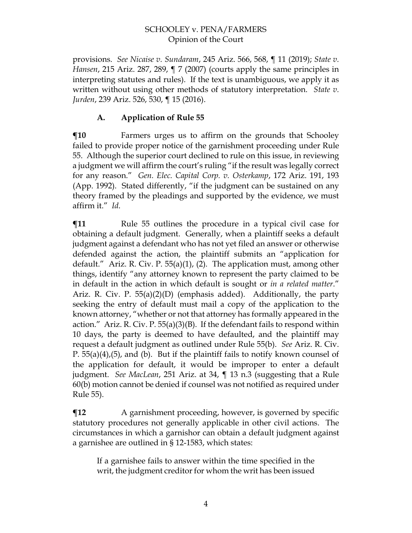provisions. *See Nicaise v. Sundaram*, 245 Ariz. 566, 568, ¶ 11 (2019); *State v. Hansen*, 215 Ariz. 287, 289, ¶ 7 (2007) (courts apply the same principles in interpreting statutes and rules). If the text is unambiguous, we apply it as written without using other methods of statutory interpretation. *State v. Jurden*, 239 Ariz. 526, 530, ¶ 15 (2016).

## **A. Application of Rule 55**

**The Farmers urges us to affirm on the grounds that Schooley** failed to provide proper notice of the garnishment proceeding under Rule 55. Although the superior court declined to rule on this issue, in reviewing a judgment we will affirm the court's ruling "if the result was legally correct for any reason." *Gen. Elec. Capital Corp. v. Osterkamp*, 172 Ariz. 191, 193 (App. 1992). Stated differently, "if the judgment can be sustained on any theory framed by the pleadings and supported by the evidence, we must affirm it." *Id*.

**The Term** Rule 55 outlines the procedure in a typical civil case for obtaining a default judgment. Generally, when a plaintiff seeks a default judgment against a defendant who has not yet filed an answer or otherwise defended against the action, the plaintiff submits an "application for default." Ariz. R. Civ. P. 55(a)(1), (2). The application must, among other things, identify "any attorney known to represent the party claimed to be in default in the action in which default is sought or *in a related matter*." Ariz. R. Civ. P. 55(a)(2)(D) (emphasis added). Additionally, the party seeking the entry of default must mail a copy of the application to the known attorney, "whether or not that attorney has formally appeared in the action." Ariz. R. Civ. P. 55(a)(3)(B). If the defendant fails to respond within 10 days, the party is deemed to have defaulted, and the plaintiff may request a default judgment as outlined under Rule 55(b). *See* Ariz. R. Civ. P.  $55(a)(4)$ , (5), and (b). But if the plaintiff fails to notify known counsel of the application for default, it would be improper to enter a default judgment. *See MacLean*, 251 Ariz. at 34, ¶ 13 n.3 (suggesting that a Rule 60(b) motion cannot be denied if counsel was not notified as required under Rule 55).

**The Term** A garnishment proceeding, however, is governed by specific statutory procedures not generally applicable in other civil actions. The circumstances in which a garnishor can obtain a default judgment against a garnishee are outlined in § 12-1583, which states:

If a garnishee fails to answer within the time specified in the writ, the judgment creditor for whom the writ has been issued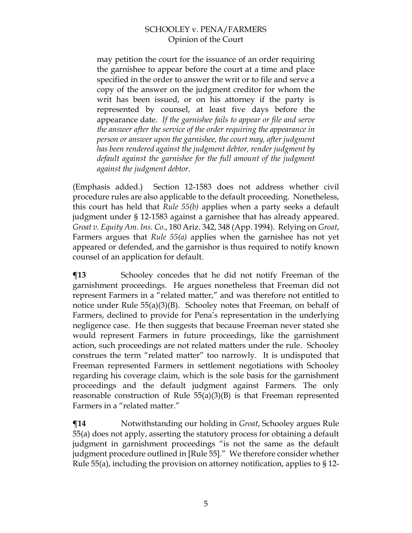may petition the court for the issuance of an order requiring the garnishee to appear before the court at a time and place specified in the order to answer the writ or to file and serve a copy of the answer on the judgment creditor for whom the writ has been issued, or on his attorney if the party is represented by counsel, at least five days before the appearance date. *If the garnishee fails to appear or file and serve the answer after the service of the order requiring the appearance in person or answer upon the garnishee, the court may, after judgment has been rendered against the judgment debtor, render judgment by default against the garnishee for the full amount of the judgment against the judgment debtor*.

(Emphasis added.) Section 12-1583 does not address whether civil procedure rules are also applicable to the default proceeding. Nonetheless, this court has held that *Rule 55(b)* applies when a party seeks a default judgment under § 12-1583 against a garnishee that has already appeared. *Groat v. Equity Am. Ins. Co.*, 180 Ariz. 342, 348 (App. 1994). Relying on *Groat*, Farmers argues that *Rule 55(a)* applies when the garnishee has not yet appeared or defended, and the garnishor is thus required to notify known counsel of an application for default.

**¶13** Schooley concedes that he did not notify Freeman of the garnishment proceedings. He argues nonetheless that Freeman did not represent Farmers in a "related matter," and was therefore not entitled to notice under Rule 55(a)(3)(B). Schooley notes that Freeman, on behalf of Farmers, declined to provide for Pena's representation in the underlying negligence case. He then suggests that because Freeman never stated she would represent Farmers in future proceedings, like the garnishment action, such proceedings are not related matters under the rule. Schooley construes the term "related matter" too narrowly. It is undisputed that Freeman represented Farmers in settlement negotiations with Schooley regarding his coverage claim, which is the sole basis for the garnishment proceedings and the default judgment against Farmers. The only reasonable construction of Rule  $55(a)(3)(B)$  is that Freeman represented Farmers in a "related matter."

**¶14** Notwithstanding our holding in *Groat*, Schooley argues Rule 55(a) does not apply, asserting the statutory process for obtaining a default judgment in garnishment proceedings "is not the same as the default judgment procedure outlined in [Rule 55]." We therefore consider whether Rule 55(a), including the provision on attorney notification, applies to  $\S 12$ -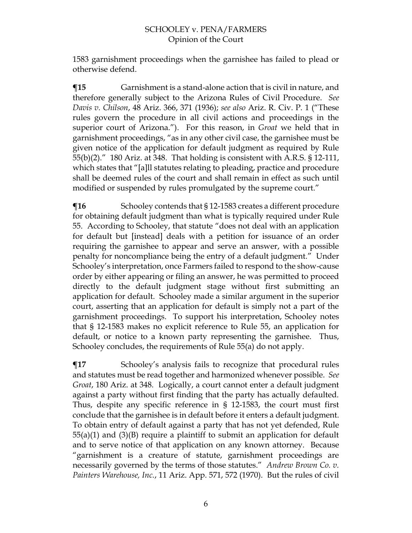1583 garnishment proceedings when the garnishee has failed to plead or otherwise defend.

**¶15** Garnishment is a stand-alone action that is civil in nature, and therefore generally subject to the Arizona Rules of Civil Procedure. *See Davis v. Chilson*, 48 Ariz. 366, 371 (1936); *see also* Ariz. R. Civ. P. 1 ("These rules govern the procedure in all civil actions and proceedings in the superior court of Arizona."). For this reason, in *Groat* we held that in garnishment proceedings, "as in any other civil case, the garnishee must be given notice of the application for default judgment as required by Rule 55(b)(2)." 180 Ariz. at 348. That holding is consistent with A.R.S. § 12-111, which states that "[a]ll statutes relating to pleading, practice and procedure shall be deemed rules of the court and shall remain in effect as such until modified or suspended by rules promulgated by the supreme court."

**¶16** Schooley contends that § 12-1583 creates a different procedure for obtaining default judgment than what is typically required under Rule 55. According to Schooley, that statute "does not deal with an application for default but [instead] deals with a petition for issuance of an order requiring the garnishee to appear and serve an answer, with a possible penalty for noncompliance being the entry of a default judgment." Under Schooley's interpretation, once Farmers failed to respond to the show-cause order by either appearing or filing an answer, he was permitted to proceed directly to the default judgment stage without first submitting an application for default. Schooley made a similar argument in the superior court, asserting that an application for default is simply not a part of the garnishment proceedings. To support his interpretation, Schooley notes that § 12-1583 makes no explicit reference to Rule 55, an application for default, or notice to a known party representing the garnishee. Thus, Schooley concludes, the requirements of Rule 55(a) do not apply.

**The Term** Schooley's analysis fails to recognize that procedural rules and statutes must be read together and harmonized whenever possible. *See Groat*, 180 Ariz. at 348. Logically, a court cannot enter a default judgment against a party without first finding that the party has actually defaulted. Thus, despite any specific reference in § 12-1583, the court must first conclude that the garnishee is in default before it enters a default judgment. To obtain entry of default against a party that has not yet defended, Rule 55(a)(1) and (3)(B) require a plaintiff to submit an application for default and to serve notice of that application on any known attorney. Because "garnishment is a creature of statute, garnishment proceedings are necessarily governed by the terms of those statutes." *Andrew Brown Co. v. Painters Warehouse, Inc.*, 11 Ariz. App. 571, 572 (1970). But the rules of civil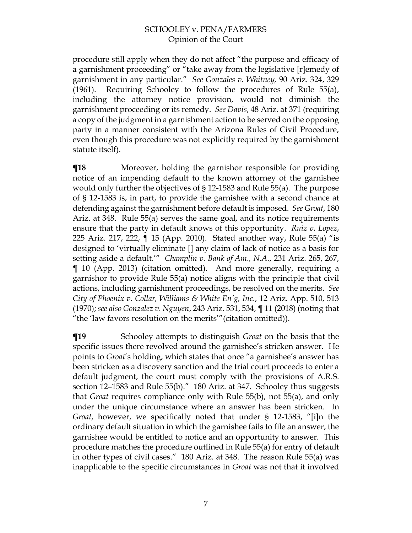procedure still apply when they do not affect "the purpose and efficacy of a garnishment proceeding" or "take away from the legislative [r]emedy of garnishment in any particular." *See Gonzales v. Whitney,* 90 Ariz. 324, 329  $(1961)$ . Requiring Schooley to follow the procedures of Rule 55(a), including the attorney notice provision, would not diminish the garnishment proceeding or its remedy. *See Davis*, 48 Ariz. at 371 (requiring a copy of the judgment in a garnishment action to be served on the opposing party in a manner consistent with the Arizona Rules of Civil Procedure, even though this procedure was not explicitly required by the garnishment statute itself).

**The Term** Moreover, holding the garnishor responsible for providing notice of an impending default to the known attorney of the garnishee would only further the objectives of § 12-1583 and Rule 55(a). The purpose of § 12-1583 is, in part, to provide the garnishee with a second chance at defending against the garnishment before default is imposed. *See Groat*, 180 Ariz. at 348. Rule 55(a) serves the same goal, and its notice requirements ensure that the party in default knows of this opportunity. *Ruiz v. Lopez*, 225 Ariz. 217, 222, ¶ 15 (App. 2010). Stated another way, Rule 55(a) "is designed to 'virtually eliminate [] any claim of lack of notice as a basis for setting aside a default.'" *Champlin v. Bank of Am., N.A.*, 231 Ariz. 265, 267, ¶ 10 (App. 2013) (citation omitted). And more generally, requiring a garnishor to provide Rule 55(a) notice aligns with the principle that civil actions, including garnishment proceedings, be resolved on the merits. *See City of Phoenix v. Collar, Williams & White En'g, Inc.*, 12 Ariz. App. 510, 513 (1970); *see also Gonzalez v. Nguyen*, 243 Ariz. 531, 534, ¶ 11 (2018) (noting that "the 'law favors resolution on the merits'"(citation omitted)).

**The Schooley attempts to distinguish** *Groat* on the basis that the specific issues there revolved around the garnishee's stricken answer. He points to *Groat*'s holding, which states that once "a garnishee's answer has been stricken as a discovery sanction and the trial court proceeds to enter a default judgment, the court must comply with the provisions of A.R.S. section 12–1583 and Rule 55(b)." 180 Ariz. at 347. Schooley thus suggests that *Groat* requires compliance only with Rule 55(b), not 55(a), and only under the unique circumstance where an answer has been stricken. In *Groat*, however, we specifically noted that under § 12-1583, "[i]n the ordinary default situation in which the garnishee fails to file an answer, the garnishee would be entitled to notice and an opportunity to answer. This procedure matches the procedure outlined in Rule 55(a) for entry of default in other types of civil cases." 180 Ariz. at 348. The reason Rule 55(a) was inapplicable to the specific circumstances in *Groat* was not that it involved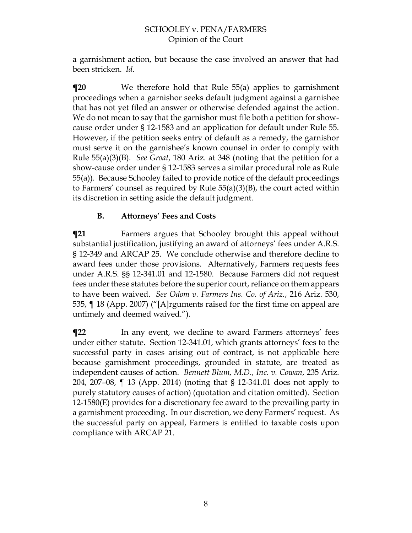a garnishment action, but because the case involved an answer that had been stricken. *Id.*

**¶20** We therefore hold that Rule 55(a) applies to garnishment proceedings when a garnishor seeks default judgment against a garnishee that has not yet filed an answer or otherwise defended against the action. We do not mean to say that the garnishor must file both a petition for showcause order under § 12-1583 and an application for default under Rule 55. However, if the petition seeks entry of default as a remedy, the garnishor must serve it on the garnishee's known counsel in order to comply with Rule 55(a)(3)(B). *See Groat*, 180 Ariz. at 348 (noting that the petition for a show-cause order under § 12-1583 serves a similar procedural role as Rule 55(a)). Because Schooley failed to provide notice of the default proceedings to Farmers' counsel as required by Rule 55(a)(3)(B), the court acted within its discretion in setting aside the default judgment.

## **B. Attorneys' Fees and Costs**

**¶21** Farmers argues that Schooley brought this appeal without substantial justification, justifying an award of attorneys' fees under A.R.S. § 12-349 and ARCAP 25. We conclude otherwise and therefore decline to award fees under those provisions. Alternatively, Farmers requests fees under A.R.S. §§ 12-341.01 and 12-1580. Because Farmers did not request fees under these statutes before the superior court, reliance on them appears to have been waived. *See Odom v. Farmers Ins. Co. of Ariz.*, 216 Ariz. 530, 535, ¶ 18 (App. 2007) ("[A]rguments raised for the first time on appeal are untimely and deemed waived.").

**¶22** In any event, we decline to award Farmers attorneys' fees under either statute. Section 12-341.01, which grants attorneys' fees to the successful party in cases arising out of contract, is not applicable here because garnishment proceedings, grounded in statute, are treated as independent causes of action. *Bennett Blum, M.D., Inc. v. Cowan*, 235 Ariz. 204, 207–08, ¶ 13 (App. 2014) (noting that § 12-341.01 does not apply to purely statutory causes of action) (quotation and citation omitted). Section 12-1580(E) provides for a discretionary fee award to the prevailing party in a garnishment proceeding. In our discretion, we deny Farmers' request. As the successful party on appeal, Farmers is entitled to taxable costs upon compliance with ARCAP 21.